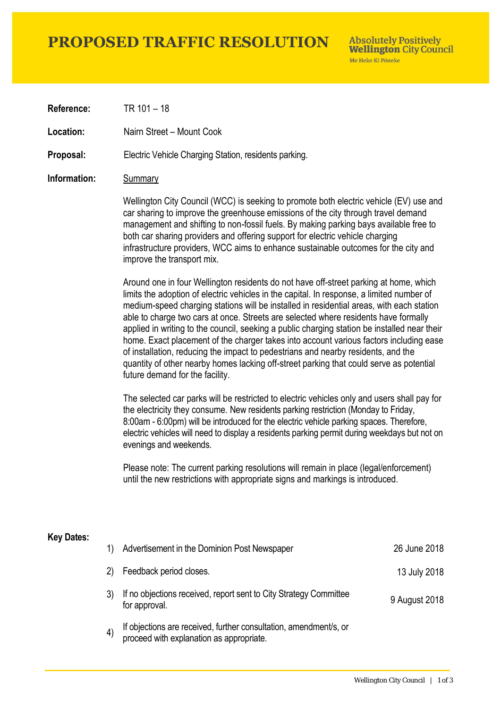### **PROPOSED TRAFFIC RESOLUTION**

**Absolutely Positively Wellington City Council** Me Heke Ki Pôneke

**Reference:** TR 101 – 18

**Location:** Nairn Street – Mount Cook

**Proposal:** Electric Vehicle Charging Station, residents parking.

### **Information:** Summary

Wellington City Council (WCC) is seeking to promote both electric vehicle (EV) use and car sharing to improve the greenhouse emissions of the city through travel demand management and shifting to non-fossil fuels. By making parking bays available free to both car sharing providers and offering support for electric vehicle charging infrastructure providers, WCC aims to enhance sustainable outcomes for the city and improve the transport mix.

Around one in four Wellington residents do not have off-street parking at home, which limits the adoption of electric vehicles in the capital. In response, a limited number of medium-speed charging stations will be installed in residential areas, with each station able to charge two cars at once. Streets are selected where residents have formally applied in writing to the council, seeking a public charging station be installed near their home. Exact placement of the charger takes into account various factors including ease of installation, reducing the impact to pedestrians and nearby residents, and the quantity of other nearby homes lacking off-street parking that could serve as potential future demand for the facility.

The selected car parks will be restricted to electric vehicles only and users shall pay for the electricity they consume. New residents parking restriction (Monday to Friday, 8:00am - 6:00pm) will be introduced for the electric vehicle parking spaces. Therefore, electric vehicles will need to display a residents parking permit during weekdays but not on evenings and weekends.

Please note: The current parking resolutions will remain in place (legal/enforcement) until the new restrictions with appropriate signs and markings is introduced.

#### **Key Dates:**

| 1)                | Advertisement in the Dominion Post Newspaper                                                                  | 26 June 2018  |
|-------------------|---------------------------------------------------------------------------------------------------------------|---------------|
| 2)                | Feedback period closes.                                                                                       | 13 July 2018  |
|                   | If no objections received, report sent to City Strategy Committee<br>for approval.                            | 9 August 2018 |
| $\left( 4\right)$ | If objections are received, further consultation, amendment/s, or<br>proceed with explanation as appropriate. |               |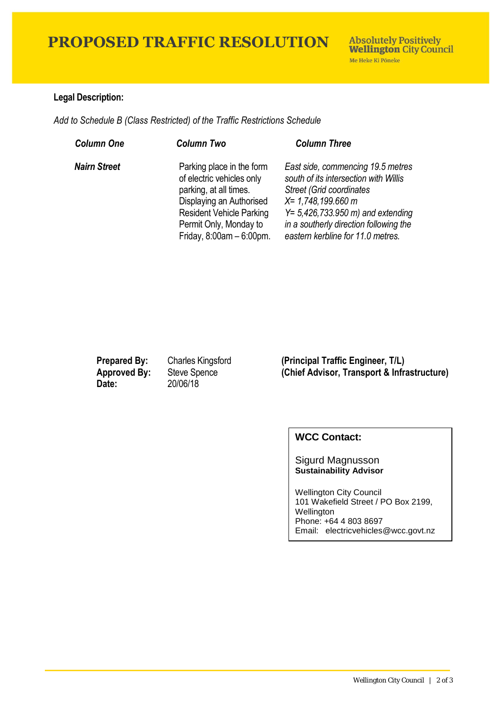## **PROPOSED TRAFFIC RESOLUTION**

### **Legal Description:**

*Add to Schedule B (Class Restricted) of the Traffic Restrictions Schedule* 

| <b>Column One</b>   | <b>Column Two</b>                                                                                                                                                                                        | <b>Column Three</b>                                                                                                                                                                                                                                                |
|---------------------|----------------------------------------------------------------------------------------------------------------------------------------------------------------------------------------------------------|--------------------------------------------------------------------------------------------------------------------------------------------------------------------------------------------------------------------------------------------------------------------|
| <b>Nairn Street</b> | Parking place in the form<br>of electric vehicles only<br>parking, at all times.<br>Displaying an Authorised<br><b>Resident Vehicle Parking</b><br>Permit Only, Monday to<br>Friday, $8:00am - 6:00pm$ . | East side, commencing 19.5 metres<br>south of its intersection with Willis<br><b>Street (Grid coordinates)</b><br>X= 1,748,199.660 m<br>$Y = 5,426,733.950 \text{ m}$ and extending<br>in a southerly direction following the<br>eastern kerbline for 11.0 metres. |

**Date:** 20/06/18

**Prepared By:** Charles Kingsford **(Principal Traffic Engineer, T/L) Approved By:** Steve Spence **(Chief Advisor, Transport & Infrastructure)**

### **WCC Contact:**

Sigurd Magnusson **Sustainability Advisor**

Wellington City Council 101 Wakefield Street / PO Box 2199, Wellington Phone: +64 4 803 8697 Email: electricvehicles@wcc.govt.nz